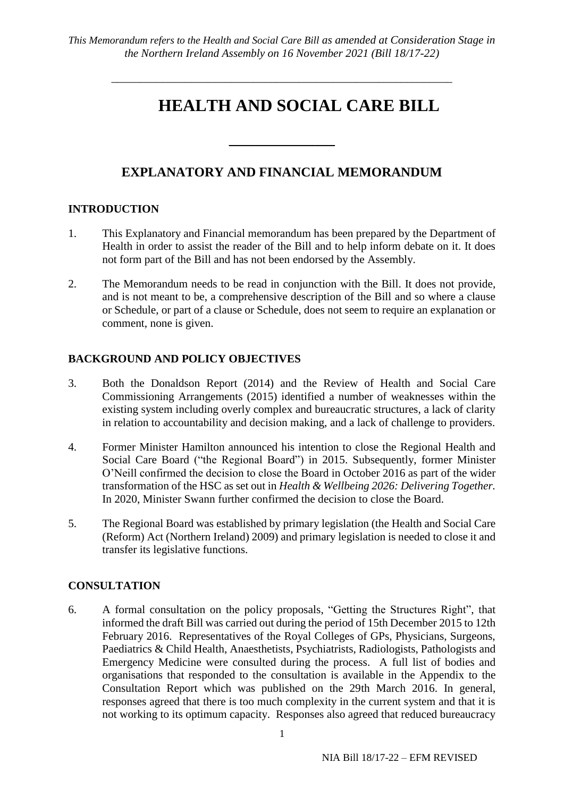# **HEALTH AND SOCIAL CARE BILL**

# **EXPLANATORY AND FINANCIAL MEMORANDUM**

 $\overline{\phantom{a}}$  , where  $\overline{\phantom{a}}$ 

# **INTRODUCTION**

- 1. This Explanatory and Financial memorandum has been prepared by the Department of Health in order to assist the reader of the Bill and to help inform debate on it. It does not form part of the Bill and has not been endorsed by the Assembly.
- 2. The Memorandum needs to be read in conjunction with the Bill. It does not provide, and is not meant to be, a comprehensive description of the Bill and so where a clause or Schedule, or part of a clause or Schedule, does not seem to require an explanation or comment, none is given.

# **BACKGROUND AND POLICY OBJECTIVES**

- 3. Both the Donaldson Report (2014) and the Review of Health and Social Care Commissioning Arrangements (2015) identified a number of weaknesses within the existing system including overly complex and bureaucratic structures, a lack of clarity in relation to accountability and decision making, and a lack of challenge to providers.
- 4. Former Minister Hamilton announced his intention to close the Regional Health and Social Care Board ("the Regional Board") in 2015. Subsequently, former Minister O'Neill confirmed the decision to close the Board in October 2016 as part of the wider transformation of the HSC as set out in *Health & Wellbeing 2026: Delivering Together.*  In 2020, Minister Swann further confirmed the decision to close the Board.
- 5. The Regional Board was established by primary legislation (the Health and Social Care (Reform) Act (Northern Ireland) 2009) and primary legislation is needed to close it and transfer its legislative functions.

# **CONSULTATION**

6. A formal consultation on the policy proposals, "Getting the Structures Right", that informed the draft Bill was carried out during the period of 15th December 2015 to 12th February 2016. Representatives of the Royal Colleges of GPs, Physicians, Surgeons, Paediatrics & Child Health, Anaesthetists, Psychiatrists, Radiologists, Pathologists and Emergency Medicine were consulted during the process. A full list of bodies and organisations that responded to the consultation is available in the Appendix to the Consultation Report which was published on the 29th March 2016. In general, responses agreed that there is too much complexity in the current system and that it is not working to its optimum capacity. Responses also agreed that reduced bureaucracy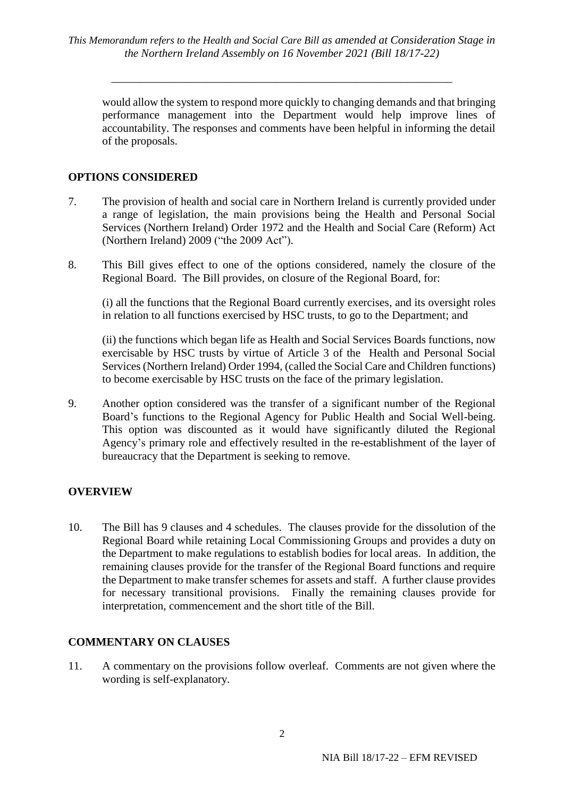would allow the system to respond more quickly to changing demands and that bringing performance management into the Department would help improve lines of accountability. The responses and comments have been helpful in informing the detail of the proposals.

# **OPTIONS CONSIDERED**

- 7. The provision of health and social care in Northern Ireland is currently provided under a range of legislation, the main provisions being the Health and Personal Social Services (Northern Ireland) Order 1972 and the Health and Social Care (Reform) Act (Northern Ireland) 2009 ("the 2009 Act").
- 8. This Bill gives effect to one of the options considered, namely the closure of the Regional Board. The Bill provides, on closure of the Regional Board, for:

(i) all the functions that the Regional Board currently exercises, and its oversight roles in relation to all functions exercised by HSC trusts, to go to the Department; and

(ii) the functions which began life as Health and Social Services Boards functions, now exercisable by HSC trusts by virtue of Article 3 of the Health and Personal Social Services (Northern Ireland) Order 1994, (called the Social Care and Children functions) to become exercisable by HSC trusts on the face of the primary legislation.

9. Another option considered was the transfer of a significant number of the Regional Board's functions to the Regional Agency for Public Health and Social Well-being. This option was discounted as it would have significantly diluted the Regional Agency's primary role and effectively resulted in the re-establishment of the layer of bureaucracy that the Department is seeking to remove.

# **OVERVIEW**

10. The Bill has 9 clauses and 4 schedules. The clauses provide for the dissolution of the Regional Board while retaining Local Commissioning Groups and provides a duty on the Department to make regulations to establish bodies for local areas. In addition, the remaining clauses provide for the transfer of the Regional Board functions and require the Department to make transfer schemes for assets and staff. A further clause provides for necessary transitional provisions. Finally the remaining clauses provide for interpretation, commencement and the short title of the Bill.

# **COMMENTARY ON CLAUSES**

11. A commentary on the provisions follow overleaf. Comments are not given where the wording is self-explanatory.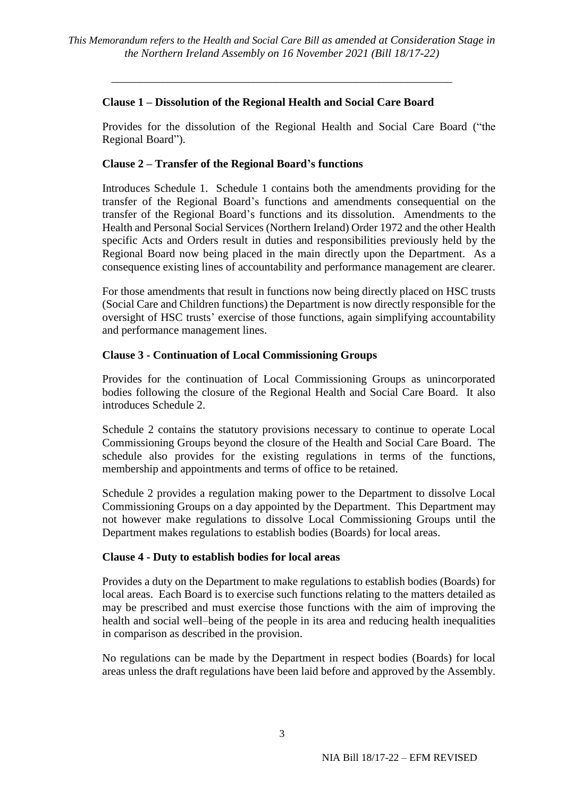# **Clause 1 – Dissolution of the Regional Health and Social Care Board**

Provides for the dissolution of the Regional Health and Social Care Board ("the Regional Board").

#### **Clause 2 – Transfer of the Regional Board's functions**

Introduces Schedule 1. Schedule 1 contains both the amendments providing for the transfer of the Regional Board's functions and amendments consequential on the transfer of the Regional Board's functions and its dissolution. Amendments to the Health and Personal Social Services (Northern Ireland) Order 1972 and the other Health specific Acts and Orders result in duties and responsibilities previously held by the Regional Board now being placed in the main directly upon the Department. As a consequence existing lines of accountability and performance management are clearer.

For those amendments that result in functions now being directly placed on HSC trusts (Social Care and Children functions) the Department is now directly responsible for the oversight of HSC trusts' exercise of those functions, again simplifying accountability and performance management lines.

#### **Clause 3 - Continuation of Local Commissioning Groups**

Provides for the continuation of Local Commissioning Groups as unincorporated bodies following the closure of the Regional Health and Social Care Board. It also introduces Schedule 2.

Schedule 2 contains the statutory provisions necessary to continue to operate Local Commissioning Groups beyond the closure of the Health and Social Care Board. The schedule also provides for the existing regulations in terms of the functions, membership and appointments and terms of office to be retained.

Schedule 2 provides a regulation making power to the Department to dissolve Local Commissioning Groups on a day appointed by the Department. This Department may not however make regulations to dissolve Local Commissioning Groups until the Department makes regulations to establish bodies (Boards) for local areas.

#### **Clause 4 - Duty to establish bodies for local areas**

Provides a duty on the Department to make regulations to establish bodies (Boards) for local areas. Each Board is to exercise such functions relating to the matters detailed as may be prescribed and must exercise those functions with the aim of improving the health and social well–being of the people in its area and reducing health inequalities in comparison as described in the provision.

No regulations can be made by the Department in respect bodies (Boards) for local areas unless the draft regulations have been laid before and approved by the Assembly.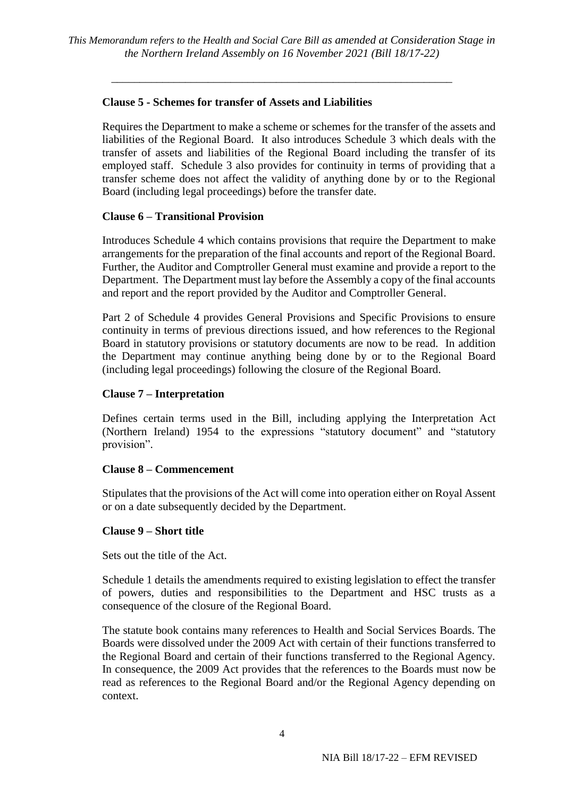#### **Clause 5 - Schemes for transfer of Assets and Liabilities**

Requires the Department to make a scheme or schemes for the transfer of the assets and liabilities of the Regional Board. It also introduces Schedule 3 which deals with the transfer of assets and liabilities of the Regional Board including the transfer of its employed staff. Schedule 3 also provides for continuity in terms of providing that a transfer scheme does not affect the validity of anything done by or to the Regional Board (including legal proceedings) before the transfer date.

#### **Clause 6 – Transitional Provision**

Introduces Schedule 4 which contains provisions that require the Department to make arrangements for the preparation of the final accounts and report of the Regional Board. Further, the Auditor and Comptroller General must examine and provide a report to the Department. The Department must lay before the Assembly a copy of the final accounts and report and the report provided by the Auditor and Comptroller General.

Part 2 of Schedule 4 provides General Provisions and Specific Provisions to ensure continuity in terms of previous directions issued, and how references to the Regional Board in statutory provisions or statutory documents are now to be read. In addition the Department may continue anything being done by or to the Regional Board (including legal proceedings) following the closure of the Regional Board.

#### **Clause 7 – Interpretation**

Defines certain terms used in the Bill, including applying the Interpretation Act (Northern Ireland) 1954 to the expressions "statutory document" and "statutory provision".

#### **Clause 8 – Commencement**

Stipulates that the provisions of the Act will come into operation either on Royal Assent or on a date subsequently decided by the Department.

#### **Clause 9 – Short title**

Sets out the title of the Act.

Schedule 1 details the amendments required to existing legislation to effect the transfer of powers, duties and responsibilities to the Department and HSC trusts as a consequence of the closure of the Regional Board.

The statute book contains many references to Health and Social Services Boards. The Boards were dissolved under the 2009 Act with certain of their functions transferred to the Regional Board and certain of their functions transferred to the Regional Agency. In consequence, the 2009 Act provides that the references to the Boards must now be read as references to the Regional Board and/or the Regional Agency depending on context.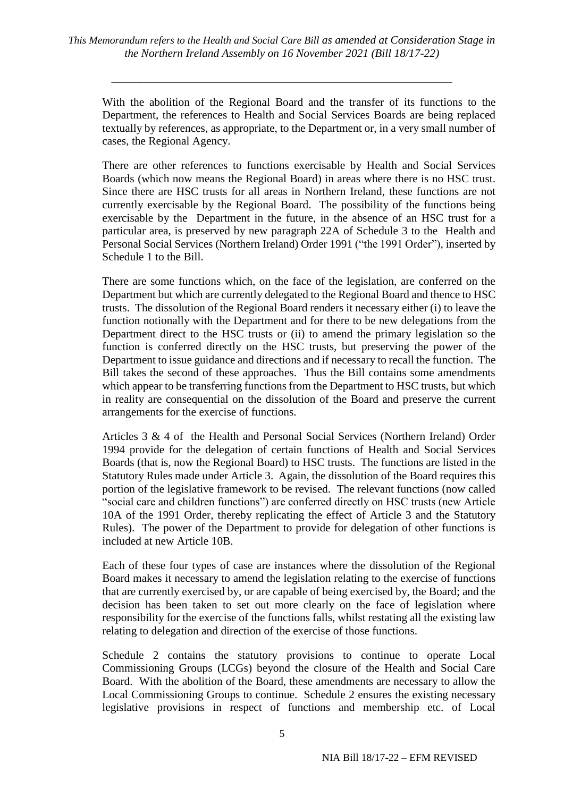With the abolition of the Regional Board and the transfer of its functions to the Department, the references to Health and Social Services Boards are being replaced textually by references, as appropriate, to the Department or, in a very small number of cases, the Regional Agency.

There are other references to functions exercisable by Health and Social Services Boards (which now means the Regional Board) in areas where there is no HSC trust. Since there are HSC trusts for all areas in Northern Ireland, these functions are not currently exercisable by the Regional Board. The possibility of the functions being exercisable by the Department in the future, in the absence of an HSC trust for a particular area, is preserved by new paragraph 22A of Schedule 3 to the Health and Personal Social Services (Northern Ireland) Order 1991 ("the 1991 Order"), inserted by Schedule 1 to the Bill.

There are some functions which, on the face of the legislation, are conferred on the Department but which are currently delegated to the Regional Board and thence to HSC trusts. The dissolution of the Regional Board renders it necessary either (i) to leave the function notionally with the Department and for there to be new delegations from the Department direct to the HSC trusts or (ii) to amend the primary legislation so the function is conferred directly on the HSC trusts, but preserving the power of the Department to issue guidance and directions and if necessary to recall the function. The Bill takes the second of these approaches. Thus the Bill contains some amendments which appear to be transferring functions from the Department to HSC trusts, but which in reality are consequential on the dissolution of the Board and preserve the current arrangements for the exercise of functions.

Articles 3 & 4 of the Health and Personal Social Services (Northern Ireland) Order 1994 provide for the delegation of certain functions of Health and Social Services Boards (that is, now the Regional Board) to HSC trusts. The functions are listed in the Statutory Rules made under Article 3. Again, the dissolution of the Board requires this portion of the legislative framework to be revised. The relevant functions (now called "social care and children functions") are conferred directly on HSC trusts (new Article 10A of the 1991 Order, thereby replicating the effect of Article 3 and the Statutory Rules). The power of the Department to provide for delegation of other functions is included at new Article 10B.

Each of these four types of case are instances where the dissolution of the Regional Board makes it necessary to amend the legislation relating to the exercise of functions that are currently exercised by, or are capable of being exercised by, the Board; and the decision has been taken to set out more clearly on the face of legislation where responsibility for the exercise of the functions falls, whilst restating all the existing law relating to delegation and direction of the exercise of those functions.

Schedule 2 contains the statutory provisions to continue to operate Local Commissioning Groups (LCGs) beyond the closure of the Health and Social Care Board. With the abolition of the Board, these amendments are necessary to allow the Local Commissioning Groups to continue. Schedule 2 ensures the existing necessary legislative provisions in respect of functions and membership etc. of Local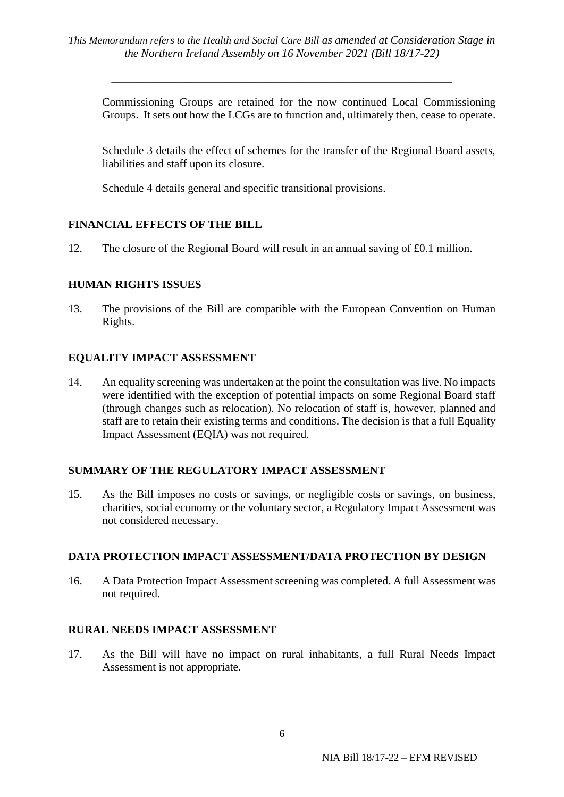Commissioning Groups are retained for the now continued Local Commissioning Groups. It sets out how the LCGs are to function and, ultimately then, cease to operate.

Schedule 3 details the effect of schemes for the transfer of the Regional Board assets, liabilities and staff upon its closure.

Schedule 4 details general and specific transitional provisions.

# **FINANCIAL EFFECTS OF THE BILL**

12. The closure of the Regional Board will result in an annual saving of £0.1 million.

#### **HUMAN RIGHTS ISSUES**

13. The provisions of the Bill are compatible with the European Convention on Human Rights.

#### **EQUALITY IMPACT ASSESSMENT**

14. An equality screening was undertaken at the point the consultation was live. No impacts were identified with the exception of potential impacts on some Regional Board staff (through changes such as relocation). No relocation of staff is, however, planned and staff are to retain their existing terms and conditions. The decision is that a full Equality Impact Assessment (EQIA) was not required.

#### **SUMMARY OF THE REGULATORY IMPACT ASSESSMENT**

15. As the Bill imposes no costs or savings, or negligible costs or savings, on business, charities, social economy or the voluntary sector, a Regulatory Impact Assessment was not considered necessary.

#### **DATA PROTECTION IMPACT ASSESSMENT/DATA PROTECTION BY DESIGN**

16. A Data Protection Impact Assessment screening was completed. A full Assessment was not required.

#### **RURAL NEEDS IMPACT ASSESSMENT**

17. As the Bill will have no impact on rural inhabitants, a full Rural Needs Impact Assessment is not appropriate.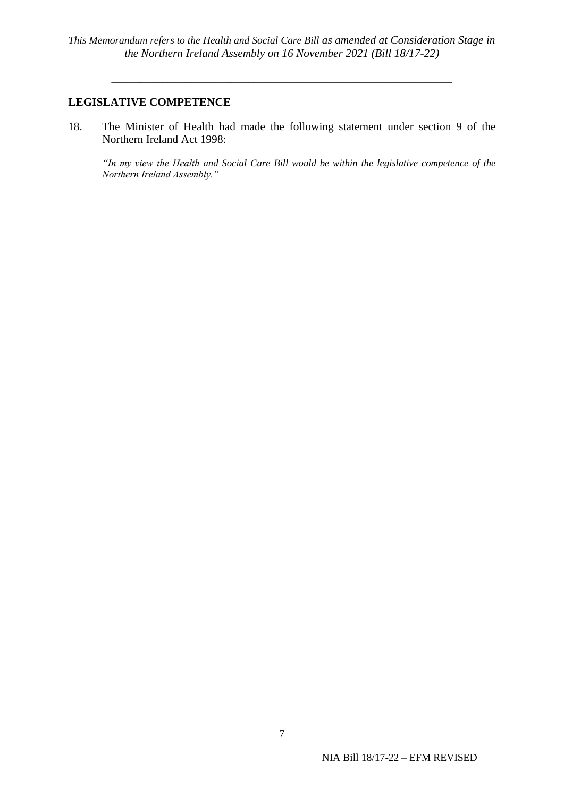#### **LEGISLATIVE COMPETENCE**

18. The Minister of Health had made the following statement under section 9 of the Northern Ireland Act 1998:

*"In my view the Health and Social Care Bill would be within the legislative competence of the Northern Ireland Assembly."*